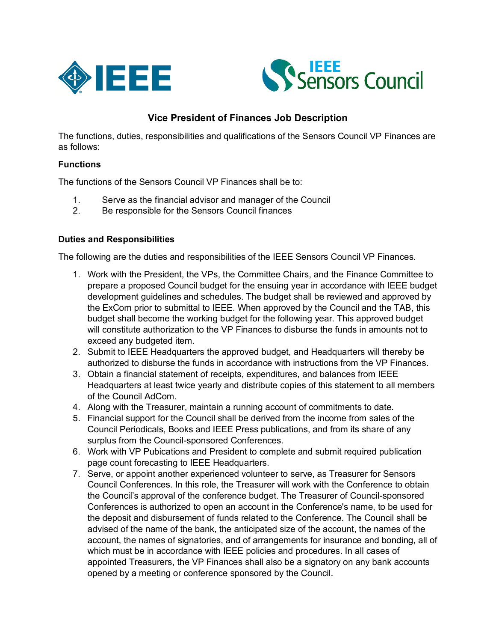



## **Vice President of Finances Job Description**

The functions, duties, responsibilities and qualifications of the Sensors Council VP Finances are as follows:

## **Functions**

The functions of the Sensors Council VP Finances shall be to:

- 1. Serve as the financial advisor and manager of the Council
- 2. Be responsible for the Sensors Council finances

## **Duties and Responsibilities**

The following are the duties and responsibilities of the IEEE Sensors Council VP Finances.

- 1. Work with the President, the VPs, the Committee Chairs, and the Finance Committee to prepare a proposed Council budget for the ensuing year in accordance with IEEE budget development guidelines and schedules. The budget shall be reviewed and approved by the ExCom prior to submittal to IEEE. When approved by the Council and the TAB, this budget shall become the working budget for the following year. This approved budget will constitute authorization to the VP Finances to disburse the funds in amounts not to exceed any budgeted item.
- 2. Submit to IEEE Headquarters the approved budget, and Headquarters will thereby be authorized to disburse the funds in accordance with instructions from the VP Finances.
- 3. Obtain a financial statement of receipts, expenditures, and balances from IEEE Headquarters at least twice yearly and distribute copies of this statement to all members of the Council AdCom.
- 4. Along with the Treasurer, maintain a running account of commitments to date.
- 5. Financial support for the Council shall be derived from the income from sales of the Council Periodicals, Books and IEEE Press publications, and from its share of any surplus from the Council-sponsored Conferences.
- 6. Work with VP Pubications and President to complete and submit required publication page count forecasting to IEEE Headquarters.
- 7. Serve, or appoint another experienced volunteer to serve, as Treasurer for Sensors Council Conferences. In this role, the Treasurer will work with the Conference to obtain the Council's approval of the conference budget. The Treasurer of Council-sponsored Conferences is authorized to open an account in the Conference's name, to be used for the deposit and disbursement of funds related to the Conference. The Council shall be advised of the name of the bank, the anticipated size of the account, the names of the account, the names of signatories, and of arrangements for insurance and bonding, all of which must be in accordance with IEEE policies and procedures. In all cases of appointed Treasurers, the VP Finances shall also be a signatory on any bank accounts opened by a meeting or conference sponsored by the Council.